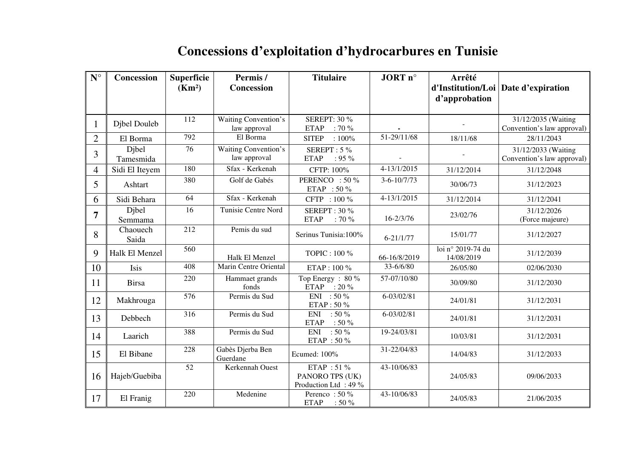| $\mathbf{N}^{\circ}$ | Concession         | <b>Superficie</b><br>(Km <sup>2</sup> ) | Permis/<br>Concession                | <b>Titulaire</b>                                      | JORT n°                   | Arrêté                          | d'Institution/Loi Date d'expiration               |
|----------------------|--------------------|-----------------------------------------|--------------------------------------|-------------------------------------------------------|---------------------------|---------------------------------|---------------------------------------------------|
|                      |                    |                                         |                                      |                                                       |                           | d'approbation                   |                                                   |
| $\mathbf l$          | Djbel Douleb       | 112                                     | Waiting Convention's<br>law approval | <b>SEREPT: 30 %</b><br>$: 70 \%$<br><b>ETAP</b>       |                           |                                 | 31/12/2035 (Waiting<br>Convention's law approval) |
| $\overline{2}$       | El Borma           | 792                                     | El Borma                             | $:100\%$<br><b>SITEP</b>                              | 51-29/11/68               | 18/11/68                        | 28/11/2043                                        |
| 3                    | Djbel<br>Tamesmida | 76                                      | Waiting Convention's<br>law approval | SEREPT: 5 %<br><b>ETAP</b><br>$: 95 \%$               |                           |                                 | 31/12/2033 (Waiting<br>Convention's law approval) |
| 4                    | Sidi El Iteyem     | 180                                     | Sfax - Kerkenah                      | CFTP: 100%                                            | $4 - 13/1/2015$           | 31/12/2014                      | 31/12/2048                                        |
| 5                    | Ashtart            | 380                                     | Golf de Gabés                        | PERENCO : 50 %<br>ETAP : 50 %                         | $\overline{3}$ -6-10/7/73 | 30/06/73                        | 31/12/2023                                        |
| 6                    | Sidi Behara        | 64                                      | Sfax - Kerkenah                      | CFTP: 100 %                                           | $4 - 13/1/2015$           | 31/12/2014                      | 31/12/2041                                        |
| 7                    | Djbel<br>Semmama   | 16                                      | <b>Tunisie Centre Nord</b>           | <b>SEREPT: 30 %</b><br><b>ETAP</b><br>$: 70 \%$       | $16 - 2/3/76$             | 23/02/76                        | 31/12/2026<br>(Force majeure)                     |
| 8                    | Chaouech<br>Saida  | 212                                     | Pemis du sud                         | Serinus Tunisia:100%                                  | $6 - 21/1/77$             | 15/01/77                        | 31/12/2027                                        |
| 9                    | Halk El Menzel     | 560                                     | Halk El Menzel                       | TOPIC: 100 %                                          | 66-16/8/2019              | loi nº 2019-74 du<br>14/08/2019 | 31/12/2039                                        |
| 10                   | Isis               | 408                                     | Marin Centre Oriental                | ETAP: 100 %                                           | 33-6/6/80                 | 26/05/80                        | 02/06/2030                                        |
| 11                   | <b>Birsa</b>       | 220                                     | Hammaet grands<br>fonds              | Top Energy: 80 %<br>ETAP : 20 %                       | 57-07/10/80               | 30/09/80                        | 31/12/2030                                        |
| 12                   | Makhrouga          | 576                                     | Permis du Sud                        | ENI: $50\%$<br>ETAP: 50 %                             | 6-03/02/81                | 24/01/81                        | 31/12/2031                                        |
| 13                   | Debbech            | 316                                     | Permis du Sud                        | <b>ENI</b><br>$:50\%$<br>$:50\%$<br><b>ETAP</b>       | 6-03/02/81                | 24/01/81                        | 31/12/2031                                        |
| 14                   | Laarich            | 388                                     | Permis du Sud                        | ENI : 50 %<br>ETAP : 50 $\%$                          | 19-24/03/81               | 10/03/81                        | 31/12/2031                                        |
| 15                   | El Bibane          | 228                                     | Gabès Djerba Ben<br>Guerdane         | Ecumed: 100%                                          | 31-22/04/83               | 14/04/83                        | 31/12/2033                                        |
| 16                   | Hajeb/Guebiba      | 52                                      | Kerkennah Ouest                      | ETAP: 51 %<br>PANORO TPS (UK)<br>Production Ltd: 49 % | 43-10/06/83               | 24/05/83                        | 09/06/2033                                        |
| 17                   | El Franig          | 220                                     | Medenine                             | Perenco: 50 %<br><b>ETAP</b><br>:50%                  | 43-10/06/83               | 24/05/83                        | 21/06/2035                                        |

## **Concessions d'exploitation d'hydrocarbures en Tunisie**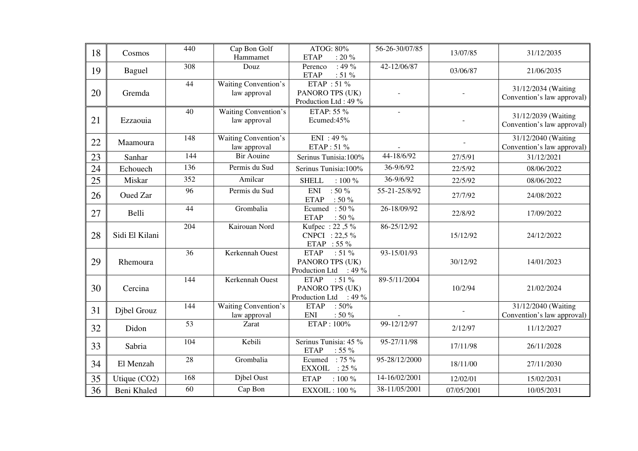| 18 | Cosmos         | 440 | Cap Bon Golf<br>Hammamet                    | ATOG: 80%<br>: 20 $\%$<br><b>ETAP</b>                                      | 56-26-30/07/85 | 13/07/85   | 31/12/2035                                        |
|----|----------------|-----|---------------------------------------------|----------------------------------------------------------------------------|----------------|------------|---------------------------------------------------|
| 19 | <b>Baguel</b>  | 308 | Douz                                        | $: 49 \%$<br>Perenco<br>$: 51 \%$<br><b>ETAP</b>                           | 42-12/06/87    | 03/06/87   | 21/06/2035                                        |
| 20 | Gremda         | 44  | <b>Waiting Convention's</b><br>law approval | ETAP : 51 %<br>PANORO TPS (UK)<br>Production Ltd: 49 %                     |                |            | 31/12/2034 (Waiting<br>Convention's law approval) |
| 21 | Ezzaouia       | 40  | <b>Waiting Convention's</b><br>law approval | ETAP: 55 %<br>Ecumed:45%                                                   | $\overline{a}$ |            | 31/12/2039 (Waiting<br>Convention's law approval) |
| 22 | Maamoura       | 148 | Waiting Convention's<br>law approval        | $ENI : 49 \%$<br>ETAP: 51 %                                                |                |            | 31/12/2040 (Waiting<br>Convention's law approval) |
| 23 | Sanhar         | 144 | <b>Bir Aouine</b>                           | Serinus Tunisia:100%                                                       | 44-18/6/92     | 27/5/91    | 31/12/2021                                        |
| 24 | Echouech       | 136 | Permis du Sud                               | Serinus Tunisia:100%                                                       | 36-9/6/92      | 22/5/92    | 08/06/2022                                        |
| 25 | Miskar         | 352 | Amilcar                                     | <b>SHELL</b><br>$: 100 \%$                                                 | 36-9/6/92      | 22/5/92    | 08/06/2022                                        |
| 26 | Oued Zar       | 96  | Permis du Sud                               | $:50\%$<br><b>ENI</b><br><b>ETAP</b><br>: 50 $\%$                          | 55-21-25/8/92  | 27/7/92    | 24/08/2022                                        |
| 27 | Belli          | 44  | Grombalia                                   | Ecumed: $50\%$<br><b>ETAP</b><br>$:50\%$                                   | 26-18/09/92    | 22/8/92    | 17/09/2022                                        |
| 28 | Sidi El Kilani | 204 | Kairouan Nord                               | Kufpec: 22,5 %<br>CNPCI: 22,5 %<br>ETAP : 55 $\%$                          | 86-25/12/92    | 15/12/92   | 24/12/2022                                        |
| 29 | Rhemoura       | 36  | Kerkennah Ouest                             | <b>ETAP</b><br>$: 51 \%$<br>PANORO TPS (UK)<br>Production Ltd<br>$: 49 \%$ | 93-15/01/93    | 30/12/92   | 14/01/2023                                        |
| 30 | Cercina        | 144 | Kerkennah Ouest                             | <b>ETAP</b><br>$:51\%$<br>PANORO TPS (UK)<br>$: 49 \%$<br>Production Ltd   | 89-5/11/2004   | 10/2/94    | 21/02/2024                                        |
| 31 | Djbel Grouz    | 144 | Waiting Convention's<br>law approval        | $:50\%$<br><b>ETAP</b><br>$:50\%$<br><b>ENI</b>                            |                |            | 31/12/2040 (Waiting<br>Convention's law approval) |
| 32 | Didon          | 53  | Zarat                                       | ETAP: 100%                                                                 | 99-12/12/97    | 2/12/97    | 11/12/2027                                        |
| 33 | Sabria         | 104 | Kebili                                      | Serinus Tunisia: 45 %<br><b>ETAP</b><br>$: 55 \%$                          | 95-27/11/98    | 17/11/98   | 26/11/2028                                        |
| 34 | El Menzah      | 28  | Grombalia                                   | $: 75\%$<br>Ecumed<br>$: 25 \%$<br><b>EXXOIL</b>                           | 95-28/12/2000  | 18/11/00   | 27/11/2030                                        |
| 35 | Utique (CO2)   | 168 | Djbel Oust                                  | <b>ETAP</b><br>$: 100 \%$                                                  | 14-16/02/2001  | 12/02/01   | 15/02/2031                                        |
| 36 | Beni Khaled    | 60  | Cap Bon                                     | <b>EXXOIL: 100 %</b>                                                       | 38-11/05/2001  | 07/05/2001 | 10/05/2031                                        |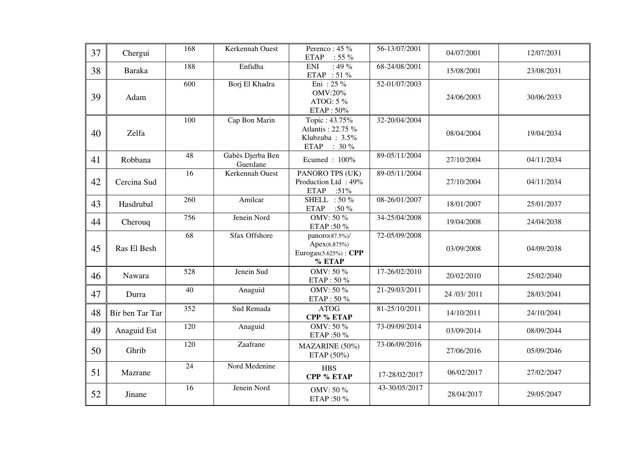| 37 | Chergui         | 168              | Kerkennah Ouest              | Perenco: 45 %<br>$: 55 \%$<br><b>ETAP</b>                            | 56-13/07/2001 | 04/07/2001     | 12/07/2031 |
|----|-----------------|------------------|------------------------------|----------------------------------------------------------------------|---------------|----------------|------------|
| 38 | <b>Baraka</b>   | 188              | Enfidha                      | $: 49\%$<br><b>ENI</b><br>ETAP : 51 %                                | 68-24/08/2001 | 15/08/2001     | 23/08/2031 |
| 39 | Adam            | $\overline{600}$ | Borj El Khadra               | Eni : 25 $%$<br><b>OMV:20%</b><br>ATOG: 5 %<br>ETAP: 50%             | 52-01/07/2003 | 24/06/2003     | 30/06/2033 |
| 40 | Zelfa           | 100              | Cap Bon Marin                | Topic: 43.75%<br>Atlantis: 22.75 %<br>Klubzuba: 3.5%<br>ETAP : 30 %  | 32-20/04/2004 | 08/04/2004     | 19/04/2034 |
| 41 | Robbana         | 48               | Gabès Djerba Ben<br>Guerdane | Ecumed: 100%                                                         | 89-05/11/2004 | 27/10/2004     | 04/11/2034 |
| 42 | Cercina Sud     | $\overline{16}$  | Kerkennah Ouest              | PANORO TPS (UK)<br>Production Ltd: 49%<br><b>ETAP</b><br>:51%        | 89-05/11/2004 | 27/10/2004     | 04/11/2034 |
| 43 | Hasdrubal       | 260              | Amilcar                      | SHELL : $50\%$<br><b>ETAP</b><br>:50 $\%$                            | 08-26/01/2007 | 18/01/2007     | 25/01/2037 |
| 44 | Cherouq         | 756              | Jenein Nord                  | OMV: 50 %<br>ETAP:50 %                                               | 34-25/04/2008 | 19/04/2008     | 24/04/2038 |
| 45 | Ras El Besh     | 68               | Sfax Offshore                | panoro(87.5%)/<br>Apex(6.875%)<br>Eurogas $(5.625%)$ : CPP<br>% ETAP | 72-05/09/2008 | 03/09/2008     | 04/09/2038 |
| 46 | Nawara          | 528              | Jenein Sud                   | OMV: 50 %<br>ETAP: 50 %                                              | 17-26/02/2010 | 20/02/2010     | 25/02/2040 |
| 47 | Durra           | 40               | Anaguid                      | OMV: 50 %<br>ETAP: 50 %                                              | 21-29/03/2011 | 24 / 03 / 2011 | 28/03/2041 |
| 48 | Bir ben Tar Tar | 352              | Sud Remada                   | <b>ATOG</b><br>CPP % ETAP                                            | 81-25/10/2011 | 14/10/2011     | 24/10/2041 |
| 49 | Anaguid Est     | 120              | Anaguid                      | OMV: 50 %<br>ETAP:50 %                                               | 73-09/09/2014 | 03/09/2014     | 08/09/2044 |
| 50 | Ghrib           | 120              | Zaafrane                     | MAZARINE (50%)<br>ETAP $(50\%)$                                      | 73-06/09/2016 | 27/06/2016     | 05/09/2046 |
| 51 | Mazrane         | $\overline{24}$  | Nord Medenine                | <b>HBS</b><br>CPP % ETAP                                             | 17-28/02/2017 | 06/02/2017     | 27/02/2047 |
| 52 | Jinane          | 16               | Jenein Nord                  | OMV: 50 %<br>ETAP:50 %                                               | 43-30/05/2017 | 28/04/2017     | 29/05/2047 |